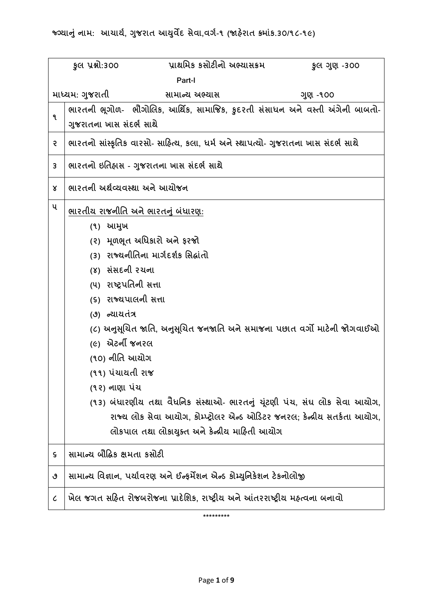|                                               | પ્રાથમિક કસોટીનો અભ્યાસક્રમ<br>કુલ પ્રશ્નો:300<br>કુલ ગુણ -300                      |  |  |  |  |
|-----------------------------------------------|-------------------------------------------------------------------------------------|--|--|--|--|
|                                               | Part-I                                                                              |  |  |  |  |
| માધ્યમ: ગુજરાતી<br>સામાન્ય અભ્યાસ<br>ગુણ -૧૦૦ |                                                                                     |  |  |  |  |
| ٩                                             | ભારતની ભૂગોળ-  ભૌગોલિક, આર્થિક, સામાજિક, કુદરતી સંસાધન અને વસ્તી અંગેની બાબતો-      |  |  |  |  |
|                                               | ગુજરાતના ખાસ સંદર્ભ સાથે                                                            |  |  |  |  |
| २                                             | ભારતનો સાંસ્કૃતિક વારસો- સાહિત્ય, કલા, ધર્મ અને સ્થાપત્યો- ગુજરાતના ખાસ સંદર્ભ સાથે |  |  |  |  |
| 3                                             | ભારતનો ઇતિહ્રાસ - ગુજરાતના ખાસ સંદર્ભ સાથે                                          |  |  |  |  |
| Χ                                             | ભારતની અર્થવ્યવસ્થા અને આયોજન                                                       |  |  |  |  |
| ૫                                             | ભારતીય રાજનીતિ અને ભારતનું બંધારણ:                                                  |  |  |  |  |
|                                               | (૧) આમુખ                                                                            |  |  |  |  |
|                                               | (૨) મૂળભૂત અધિકારો અને ફરજો                                                         |  |  |  |  |
|                                               | (3) રાજ્યનીતિના માર્ગદર્શક સિદ્ધાંતો                                                |  |  |  |  |
|                                               | (४) સંસદની રચના                                                                     |  |  |  |  |
|                                               | (૫) રાષ્ટ્રપતિની સત્તા                                                              |  |  |  |  |
|                                               | (૬) રાજ્યપાલની સત્તા                                                                |  |  |  |  |
|                                               | (૭) ન્યાયતંત્ર                                                                      |  |  |  |  |
|                                               | (૮) અનુસૂચિત જાતિ, અનુસૂચિત જનજાતિ અને સમાજના પછાત વર્ગો માટેની જોગવાઈઓ             |  |  |  |  |
|                                               | <i>(૯)</i> એટર્ની જનરલ                                                              |  |  |  |  |
|                                               | (૧૦) નીતિ આચોગ                                                                      |  |  |  |  |
|                                               | (૧૧) પંચાયતી રાજ                                                                    |  |  |  |  |
|                                               | (૧૨) નાણા પંચ                                                                       |  |  |  |  |
|                                               | (૧૩) બંધારણીય તથા વૈધનિક સંસ્થાઓ- ભારતનું ચૂંટણી પંચ, સંઘ લોક સેવા આયોગ,            |  |  |  |  |
|                                               | રાજ્ય લોક સેવા આયોગ, કોમ્પ્ટ્રોલર એન્ડ ઓડિટર જનરલ; કેન્દ્રીય સતર્કતા આયોગ,          |  |  |  |  |
|                                               | લોકપાલ તથા લોકાયુક્ત અને કેન્દ્રીય માહિતી આયોગ                                      |  |  |  |  |
| ς                                             | સામાન્ચ બૌદ્ધિક ક્ષમતા કસોટી                                                        |  |  |  |  |
| ٯ                                             | સામાન્ય વિજ્ઞાન, પર્યાવરણ અને ઈન્ફર્મેશન એન્ડ કોમ્યુનિકેશન ટેકનોલોજી                |  |  |  |  |
| $\epsilon$                                    | ખેલ જગત સહિત રોજબરોજના પ્રાદેશિક, રાષ્ટ્રીય અને આંતરરાષ્ટ્રીય મહ્ત્વના બનાવો        |  |  |  |  |
| *********                                     |                                                                                     |  |  |  |  |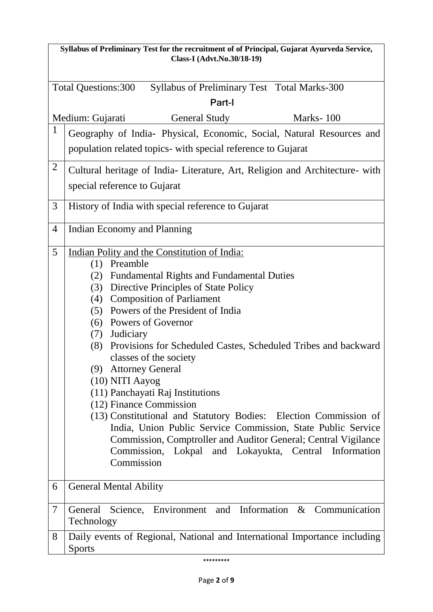| Syllabus of Preliminary Test for the recruitment of of Principal, Gujarat Ayurveda Service,<br>Class-I (Advt.No.30/18-19) |                                                                                                                                                                                                                                                                                                                                                                                                                                                                                                                                                                                                                                                                                                                                                                                                      |  |  |  |  |
|---------------------------------------------------------------------------------------------------------------------------|------------------------------------------------------------------------------------------------------------------------------------------------------------------------------------------------------------------------------------------------------------------------------------------------------------------------------------------------------------------------------------------------------------------------------------------------------------------------------------------------------------------------------------------------------------------------------------------------------------------------------------------------------------------------------------------------------------------------------------------------------------------------------------------------------|--|--|--|--|
| Syllabus of Preliminary Test Total Marks-300<br><b>Total Questions:300</b><br>Part-I                                      |                                                                                                                                                                                                                                                                                                                                                                                                                                                                                                                                                                                                                                                                                                                                                                                                      |  |  |  |  |
| Medium: Gujarati<br><b>General Study</b><br>Marks-100                                                                     |                                                                                                                                                                                                                                                                                                                                                                                                                                                                                                                                                                                                                                                                                                                                                                                                      |  |  |  |  |
| 1                                                                                                                         | Geography of India- Physical, Economic, Social, Natural Resources and                                                                                                                                                                                                                                                                                                                                                                                                                                                                                                                                                                                                                                                                                                                                |  |  |  |  |
|                                                                                                                           | population related topics- with special reference to Gujarat                                                                                                                                                                                                                                                                                                                                                                                                                                                                                                                                                                                                                                                                                                                                         |  |  |  |  |
| $\overline{2}$                                                                                                            | Cultural heritage of India- Literature, Art, Religion and Architecture- with                                                                                                                                                                                                                                                                                                                                                                                                                                                                                                                                                                                                                                                                                                                         |  |  |  |  |
|                                                                                                                           | special reference to Gujarat                                                                                                                                                                                                                                                                                                                                                                                                                                                                                                                                                                                                                                                                                                                                                                         |  |  |  |  |
| 3                                                                                                                         | History of India with special reference to Gujarat                                                                                                                                                                                                                                                                                                                                                                                                                                                                                                                                                                                                                                                                                                                                                   |  |  |  |  |
| $\overline{4}$                                                                                                            | Indian Economy and Planning                                                                                                                                                                                                                                                                                                                                                                                                                                                                                                                                                                                                                                                                                                                                                                          |  |  |  |  |
| 5                                                                                                                         | Indian Polity and the Constitution of India:<br>Preamble<br>(1)<br><b>Fundamental Rights and Fundamental Duties</b><br>(2)<br>Directive Principles of State Policy<br>(3)<br><b>Composition of Parliament</b><br>(4)<br>(5) Powers of the President of India<br>(6) Powers of Governor<br>Judiciary<br>(7)<br>Provisions for Scheduled Castes, Scheduled Tribes and backward<br>(8)<br>classes of the society<br>(9) Attorney General<br>(10) NITI Aayog<br>(11) Panchayati Raj Institutions<br>(12) Finance Commission<br>(13) Constitutional and Statutory Bodies: Election Commission of<br>India, Union Public Service Commission, State Public Service<br>Commission, Comptroller and Auditor General; Central Vigilance<br>Commission, Lokpal and Lokayukta, Central Information<br>Commission |  |  |  |  |
| 6                                                                                                                         | <b>General Mental Ability</b>                                                                                                                                                                                                                                                                                                                                                                                                                                                                                                                                                                                                                                                                                                                                                                        |  |  |  |  |
| 7                                                                                                                         | Science, Environment and Information & Communication<br>General<br>Technology                                                                                                                                                                                                                                                                                                                                                                                                                                                                                                                                                                                                                                                                                                                        |  |  |  |  |
| 8                                                                                                                         | Daily events of Regional, National and International Importance including<br><b>Sports</b>                                                                                                                                                                                                                                                                                                                                                                                                                                                                                                                                                                                                                                                                                                           |  |  |  |  |
|                                                                                                                           | *********                                                                                                                                                                                                                                                                                                                                                                                                                                                                                                                                                                                                                                                                                                                                                                                            |  |  |  |  |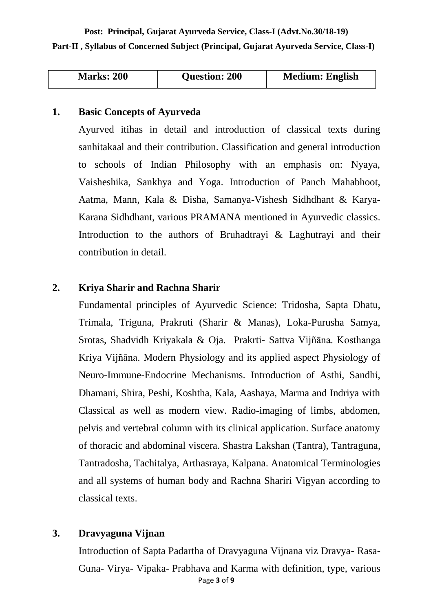**Post: Principal, Gujarat Ayurveda Service, Class-I (Advt.No.30/18-19) Part-II , Syllabus of Concerned Subject (Principal, Gujarat Ayurveda Service, Class-I)**

| <b>Marks: 200</b> | <b>Question: 200</b> | <b>Medium: English</b> |
|-------------------|----------------------|------------------------|

#### **1. Basic Concepts of Ayurveda**

Ayurved itihas in detail and introduction of classical texts during sanhitakaal and their contribution. Classification and general introduction to schools of Indian Philosophy with an emphasis on: Nyaya, Vaisheshika, Sankhya and Yoga. Introduction of Panch Mahabhoot, Aatma, Mann, Kala & Disha, Samanya-Vishesh Sidhdhant & Karya-Karana Sidhdhant, various PRAMANA mentioned in Ayurvedic classics. Introduction to the authors of Bruhadtrayi & Laghutrayi and their contribution in detail.

#### **2. Kriya Sharir and Rachna Sharir**

Fundamental principles of Ayurvedic Science: Tridosha, Sapta Dhatu, Trimala, Triguna, Prakruti (Sharir & Manas), Loka-Purusha Samya, Srotas, Shadvidh Kriyakala & Oja. Prakrti- Sattva Vijñāna. Kosthanga Kriya Vijñāna. Modern Physiology and its applied aspect Physiology of Neuro-Immune-Endocrine Mechanisms. Introduction of Asthi, Sandhi, Dhamani, Shira, Peshi, Koshtha, Kala, Aashaya, Marma and Indriya with Classical as well as modern view. Radio-imaging of limbs, abdomen, pelvis and vertebral column with its clinical application. Surface anatomy of thoracic and abdominal viscera. Shastra Lakshan (Tantra), Tantraguna, Tantradosha, Tachitalya, Arthasraya, Kalpana. Anatomical Terminologies and all systems of human body and Rachna Shariri Vigyan according to classical texts.

# **3. Dravyaguna Vijnan**

Page **3** of **9** Introduction of Sapta Padartha of Dravyaguna Vijnana viz Dravya- Rasa-Guna- Virya- Vipaka- Prabhava and Karma with definition, type, various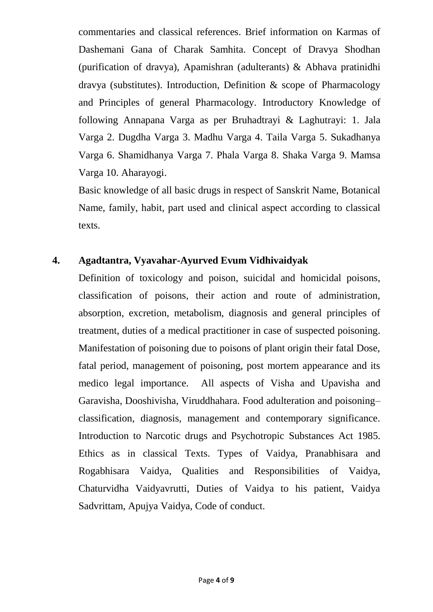commentaries and classical references. Brief information on Karmas of Dashemani Gana of Charak Samhita. Concept of Dravya Shodhan (purification of dravya), Apamishran (adulterants) & Abhava pratinidhi dravya (substitutes). Introduction, Definition & scope of Pharmacology and Principles of general Pharmacology. Introductory Knowledge of following Annapana Varga as per Bruhadtrayi & Laghutrayi: 1. Jala Varga 2. Dugdha Varga 3. Madhu Varga 4. Taila Varga 5. Sukadhanya Varga 6. Shamidhanya Varga 7. Phala Varga 8. Shaka Varga 9. Mamsa Varga 10. Aharayogi.

Basic knowledge of all basic drugs in respect of Sanskrit Name, Botanical Name, family, habit, part used and clinical aspect according to classical texts.

# **4. Agadtantra, Vyavahar-Ayurved Evum Vidhivaidyak**

Definition of toxicology and poison, suicidal and homicidal poisons, classification of poisons, their action and route of administration, absorption, excretion, metabolism, diagnosis and general principles of treatment, duties of a medical practitioner in case of suspected poisoning. Manifestation of poisoning due to poisons of plant origin their fatal Dose, fatal period, management of poisoning, post mortem appearance and its medico legal importance. All aspects of Visha and Upavisha and Garavisha, Dooshivisha, Viruddhahara. Food adulteration and poisoning– classification, diagnosis, management and contemporary significance. Introduction to Narcotic drugs and Psychotropic Substances Act 1985. Ethics as in classical Texts. Types of Vaidya, Pranabhisara and Rogabhisara Vaidya, Qualities and Responsibilities of Vaidya, Chaturvidha Vaidyavrutti, Duties of Vaidya to his patient, Vaidya Sadvrittam, Apujya Vaidya, Code of conduct.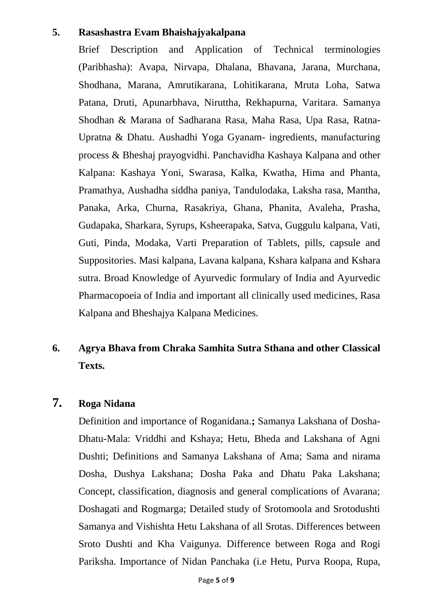# **5. Rasashastra Evam Bhaishajyakalpana**

Brief Description and Application of Technical terminologies (Paribhasha): Avapa, Nirvapa, Dhalana, Bhavana, Jarana, Murchana, Shodhana, Marana, Amrutikarana, Lohitikarana, Mruta Loha, Satwa Patana, Druti, Apunarbhava, Niruttha, Rekhapurna, Varitara. Samanya Shodhan & Marana of Sadharana Rasa, Maha Rasa, Upa Rasa, Ratna-Upratna & Dhatu. Aushadhi Yoga Gyanam- ingredients, manufacturing process & Bheshaj prayogvidhi. Panchavidha Kashaya Kalpana and other Kalpana: Kashaya Yoni, Swarasa, Kalka, Kwatha, Hima and Phanta, Pramathya, Aushadha siddha paniya, Tandulodaka, Laksha rasa, Mantha, Panaka, Arka, Churna, Rasakriya, Ghana, Phanita, Avaleha, Prasha, Gudapaka, Sharkara, Syrups, Ksheerapaka, Satva, Guggulu kalpana, Vati, Guti, Pinda, Modaka, Varti Preparation of Tablets, pills, capsule and Suppositories. Masi kalpana, Lavana kalpana, Kshara kalpana and Kshara sutra. Broad Knowledge of Ayurvedic formulary of India and Ayurvedic Pharmacopoeia of India and important all clinically used medicines, Rasa Kalpana and Bheshajya Kalpana Medicines.

# **6. Agrya Bhava from Chraka Samhita Sutra Sthana and other Classical Texts.**

# **7. Roga Nidana**

Definition and importance of Roganidana.**;** Samanya Lakshana of Dosha-Dhatu-Mala: Vriddhi and Kshaya; Hetu, Bheda and Lakshana of Agni Dushti; Definitions and Samanya Lakshana of Ama; Sama and nirama Dosha, Dushya Lakshana; Dosha Paka and Dhatu Paka Lakshana; Concept, classification, diagnosis and general complications of Avarana; Doshagati and Rogmarga; Detailed study of Srotomoola and Srotodushti Samanya and Vishishta Hetu Lakshana of all Srotas. Differences between Sroto Dushti and Kha Vaigunya. Difference between Roga and Rogi Pariksha. Importance of Nidan Panchaka (i.e Hetu, Purva Roopa, Rupa,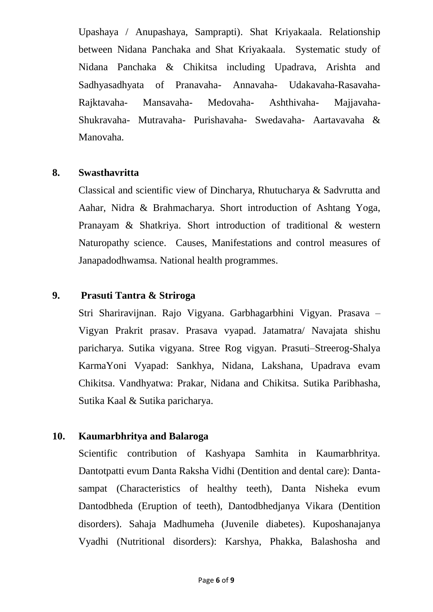Upashaya / Anupashaya, Samprapti). Shat Kriyakaala. Relationship between Nidana Panchaka and Shat Kriyakaala. Systematic study of Nidana Panchaka & Chikitsa including Upadrava, Arishta and Sadhyasadhyata of Pranavaha- Annavaha- Udakavaha-Rasavaha-Rajktavaha- Mansavaha- Medovaha- Ashthivaha- Majjavaha-Shukravaha- Mutravaha- Purishavaha- Swedavaha- Aartavavaha & Manovaha.

## **8. Swasthavritta**

Classical and scientific view of Dincharya, Rhutucharya & Sadvrutta and Aahar, Nidra & Brahmacharya. Short introduction of Ashtang Yoga, Pranayam & Shatkriya. Short introduction of traditional & western Naturopathy science. Causes, Manifestations and control measures of Janapadodhwamsa. National health programmes.

# **9. Prasuti Tantra & Striroga**

Stri Shariravijnan. Rajo Vigyana. Garbhagarbhini Vigyan. Prasava – Vigyan Prakrit prasav. Prasava vyapad. Jatamatra/ Navajata shishu paricharya. Sutika vigyana. Stree Rog vigyan. Prasuti–Streerog-Shalya KarmaYoni Vyapad: Sankhya, Nidana, Lakshana, Upadrava evam Chikitsa. Vandhyatwa: Prakar, Nidana and Chikitsa. Sutika Paribhasha, Sutika Kaal & Sutika paricharya.

# **10. Kaumarbhritya and Balaroga**

Scientific contribution of Kashyapa Samhita in Kaumarbhritya. Dantotpatti evum Danta Raksha Vidhi (Dentition and dental care): Dantasampat (Characteristics of healthy teeth), Danta Nisheka evum Dantodbheda (Eruption of teeth), Dantodbhedjanya Vikara (Dentition disorders). Sahaja Madhumeha (Juvenile diabetes). Kuposhanajanya Vyadhi (Nutritional disorders): Karshya, Phakka, Balashosha and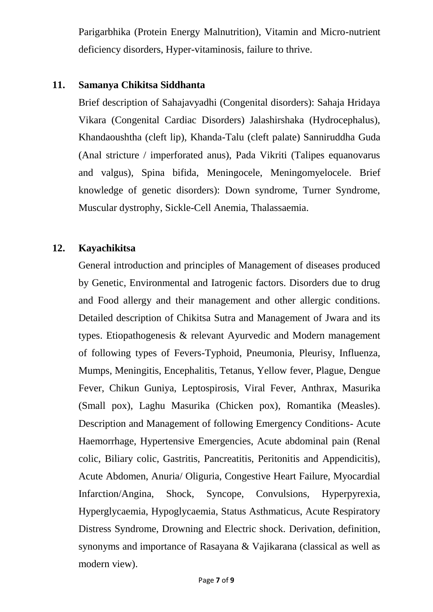Parigarbhika (Protein Energy Malnutrition), Vitamin and Micro-nutrient deficiency disorders, Hyper-vitaminosis, failure to thrive.

#### **11. Samanya Chikitsa Siddhanta**

Brief description of Sahajavyadhi (Congenital disorders): Sahaja Hridaya Vikara (Congenital Cardiac Disorders) Jalashirshaka (Hydrocephalus), Khandaoushtha (cleft lip), Khanda-Talu (cleft palate) Sanniruddha Guda (Anal stricture / imperforated anus), Pada Vikriti (Talipes equanovarus and valgus), Spina bifida, Meningocele, Meningomyelocele. Brief knowledge of genetic disorders): Down syndrome, Turner Syndrome, Muscular dystrophy, Sickle-Cell Anemia, Thalassaemia.

## **12. Kayachikitsa**

General introduction and principles of Management of diseases produced by Genetic, Environmental and Iatrogenic factors. Disorders due to drug and Food allergy and their management and other allergic conditions. Detailed description of Chikitsa Sutra and Management of Jwara and its types. Etiopathogenesis & relevant Ayurvedic and Modern management of following types of Fevers-Typhoid, Pneumonia, Pleurisy, Influenza, Mumps, Meningitis, Encephalitis, Tetanus, Yellow fever, Plague, Dengue Fever, Chikun Guniya, Leptospirosis, Viral Fever, Anthrax, Masurika (Small pox), Laghu Masurika (Chicken pox), Romantika (Measles). Description and Management of following Emergency Conditions- Acute Haemorrhage, Hypertensive Emergencies, Acute abdominal pain (Renal colic, Biliary colic, Gastritis, Pancreatitis, Peritonitis and Appendicitis), Acute Abdomen, Anuria/ Oliguria, Congestive Heart Failure, Myocardial Infarction/Angina, Shock, Syncope, Convulsions, Hyperpyrexia, Hyperglycaemia, Hypoglycaemia, Status Asthmaticus, Acute Respiratory Distress Syndrome, Drowning and Electric shock. Derivation, definition, synonyms and importance of Rasayana & Vajikarana (classical as well as modern view).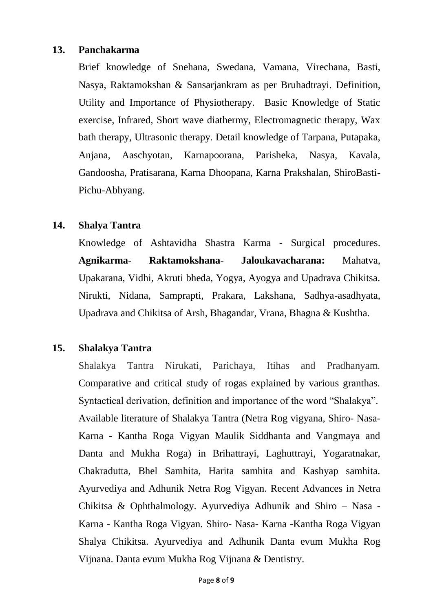## **13. Panchakarma**

Brief knowledge of Snehana, Swedana, Vamana, Virechana, Basti, Nasya, Raktamokshan & Sansarjankram as per Bruhadtrayi. Definition, Utility and Importance of Physiotherapy. Basic Knowledge of Static exercise, Infrared, Short wave diathermy, Electromagnetic therapy, Wax bath therapy, Ultrasonic therapy. Detail knowledge of Tarpana, Putapaka, Anjana, Aaschyotan, Karnapoorana, Parisheka, Nasya, Kavala, Gandoosha, Pratisarana, Karna Dhoopana, Karna Prakshalan, ShiroBasti-Pichu-Abhyang.

## **14. Shalya Tantra**

Knowledge of Ashtavidha Shastra Karma - Surgical procedures. **Agnikarma- Raktamokshana- Jaloukavacharana:** Mahatva, Upakarana, Vidhi, Akruti bheda, Yogya, Ayogya and Upadrava Chikitsa. Nirukti, Nidana, Samprapti, Prakara, Lakshana, Sadhya-asadhyata, Upadrava and Chikitsa of Arsh, Bhagandar, Vrana, Bhagna & Kushtha.

# **15. Shalakya Tantra**

Shalakya Tantra Nirukati, Parichaya, Itihas and Pradhanyam. Comparative and critical study of rogas explained by various granthas. Syntactical derivation, definition and importance of the word "Shalakya". Available literature of Shalakya Tantra (Netra Rog vigyana, Shiro- Nasa-Karna - Kantha Roga Vigyan Maulik Siddhanta and Vangmaya and Danta and Mukha Roga) in Brihattrayi, Laghuttrayi, Yogaratnakar, Chakradutta, Bhel Samhita, Harita samhita and Kashyap samhita. Ayurvediya and Adhunik Netra Rog Vigyan. Recent Advances in Netra Chikitsa & Ophthalmology. Ayurvediya Adhunik and Shiro – Nasa - Karna - Kantha Roga Vigyan. Shiro- Nasa- Karna -Kantha Roga Vigyan Shalya Chikitsa. Ayurvediya and Adhunik Danta evum Mukha Rog Vijnana. Danta evum Mukha Rog Vijnana & Dentistry.